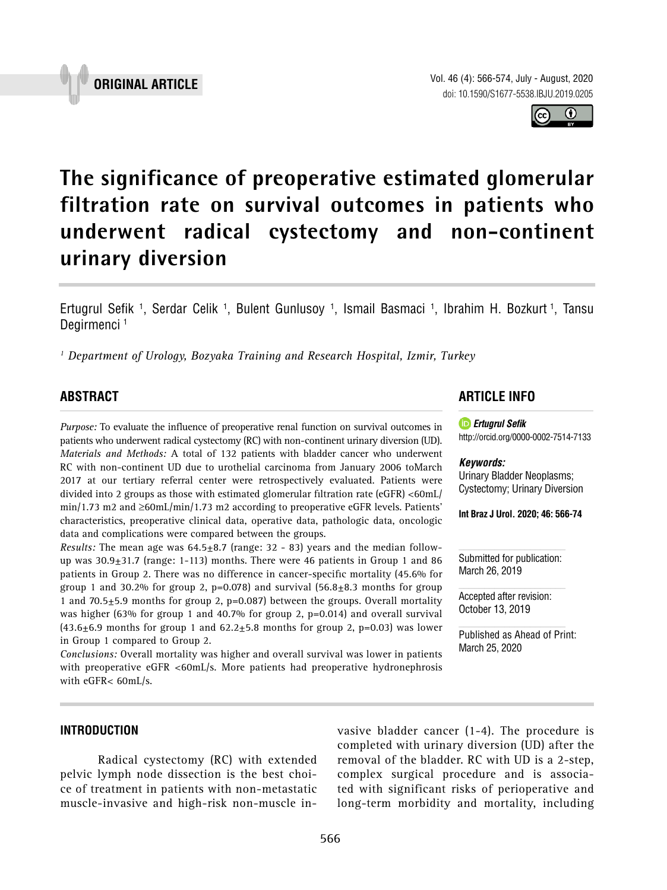Vol. 46 (4): 566-574, July - August, 2020 doi: 10.1590/S1677-5538.IBJU.2019.0205

**The significance of preoperative estimated glomerular filtration rate on survival outcomes in patients who underwent radical cystectomy and non-continent urinary diversion \_\_\_\_\_\_\_\_\_\_\_\_\_\_\_\_\_\_\_\_\_\_\_\_\_\_\_\_\_\_\_\_\_\_\_\_\_\_\_\_\_\_\_\_\_\_\_**

Ertugrul Sefik <sup>1</sup>, Serdar Celik <sup>1</sup>, Bulent Gunlusoy <sup>1</sup>, Ismail Basmaci <sup>1</sup>, Ibrahim H. Bozkurt <sup>1</sup>, Tansu Degirmenci<sup>1</sup>

*1 Department of Urology, Bozyaka Training and Research Hospital, Izmir, Turkey*

# **ABSTRACT**

*Purpose:* To evaluate the influence of preoperative renal function on survival outcomes in patients who underwent radical cystectomy (RC) with non-continent urinary diversion (UD). *Materials and Methods:* A total of 132 patients with bladder cancer who underwent RC with non-continent UD due to urothelial carcinoma from January 2006 toMarch 2017 at our tertiary referral center were retrospectively evaluated. Patients were divided into 2 groups as those with estimated glomerular filtration rate (eGFR) <60mL/ min/1.73 m2 and ≥60mL/min/1.73 m2 according to preoperative eGFR levels. Patients' characteristics, preoperative clinical data, operative data, pathologic data, oncologic data and complications were compared between the groups.

*Results:* The mean age was 64.5±8.7 (range: 32 - 83) years and the median followup was  $30.9\pm31.7$  (range: 1-113) months. There were 46 patients in Group 1 and 86 patients in Group 2. There was no difference in cancer-specific mortality (45.6% for group 1 and 30.2% for group 2,  $p=0.078$  and survival  $(56.8\pm8.3 \text{ months}$  for group 1 and 70.5 $\pm$ 5.9 months for group 2, p=0.087) between the groups. Overall mortality was higher (63% for group 1 and 40.7% for group 2,  $p=0.014$ ) and overall survival  $(43.6±6.9$  months for group 1 and  $62.2±5.8$  months for group 2, p=0.03) was lower in Group 1 compared to Group 2.

*Conclusions:* Overall mortality was higher and overall survival was lower in patients with preoperative eGFR <60mL/s. More patients had preoperative hydronephrosis with eGFR< 60mL/s.

### **ARTICLE INFO**

*Ertugrul Sefik*

#### *Keywords:*

Urinary Bladder Neoplasms; Cystectomy; Urinary Diversion

http://orcid.org/0000-0002-7514-7133

**Int Braz J Urol. 2020; 46: 566-74**

Submitted for publication: March 26, 2019

Accepted after revision: October 13, 2019

Published as Ahead of Print: March 25, 2020

## **INTRODUCTION**

Radical cystectomy (RC) with extended pelvic lymph node dissection is the best choice of treatment in patients with non-metastatic muscle-invasive and high-risk non-muscle invasive bladder cancer (1-4). The procedure is completed with urinary diversion (UD) after the removal of the bladder. RC with UD is a 2-step, complex surgical procedure and is associated with significant risks of perioperative and long-term morbidity and mortality, including

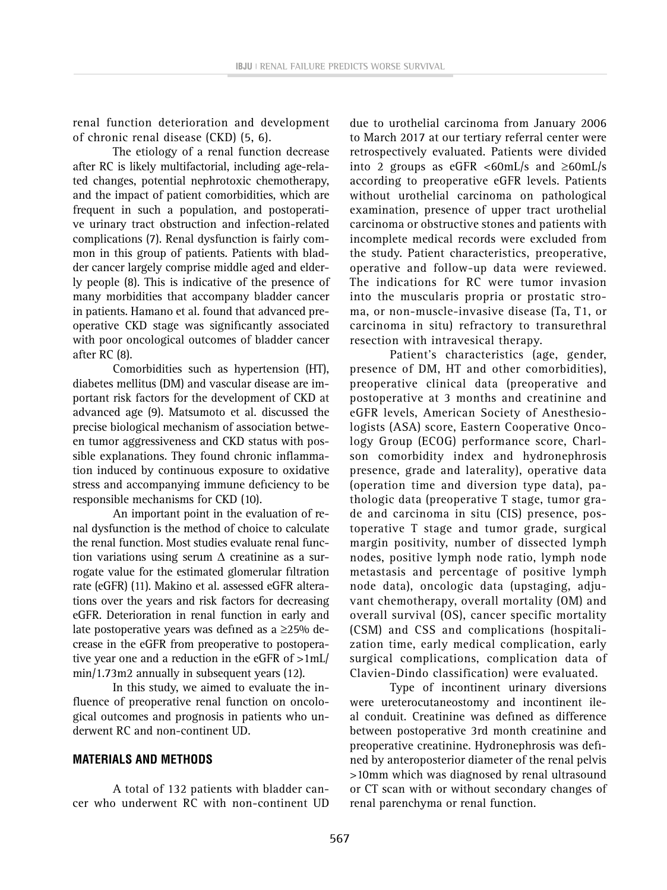renal function deterioration and development of chronic renal disease (CKD) (5, 6).

The etiology of a renal function decrease after RC is likely multifactorial, including age-related changes, potential nephrotoxic chemotherapy, and the impact of patient comorbidities, which are frequent in such a population, and postoperative urinary tract obstruction and infection-related complications (7). Renal dysfunction is fairly common in this group of patients. Patients with bladder cancer largely comprise middle aged and elderly people (8). This is indicative of the presence of many morbidities that accompany bladder cancer in patients. Hamano et al. found that advanced preoperative CKD stage was significantly associated with poor oncological outcomes of bladder cancer after RC (8).

Comorbidities such as hypertension (HT), diabetes mellitus (DM) and vascular disease are important risk factors for the development of CKD at advanced age (9). Matsumoto et al. discussed the precise biological mechanism of association between tumor aggressiveness and CKD status with possible explanations. They found chronic inflammation induced by continuous exposure to oxidative stress and accompanying immune deficiency to be responsible mechanisms for CKD (10).

An important point in the evaluation of renal dysfunction is the method of choice to calculate the renal function. Most studies evaluate renal function variations using serum  $\Delta$  creatinine as a surrogate value for the estimated glomerular filtration rate (eGFR) (11). Makino et al. assessed eGFR alterations over the years and risk factors for decreasing eGFR. Deterioration in renal function in early and late postoperative years was defined as a ≥25% decrease in the eGFR from preoperative to postoperative year one and a reduction in the eGFR of >1mL/ min/1.73m2 annually in subsequent years (12).

In this study, we aimed to evaluate the influence of preoperative renal function on oncological outcomes and prognosis in patients who underwent RC and non-continent UD.

#### **MATERIALS AND METHODS**

A total of 132 patients with bladder cancer who underwent RC with non-continent UD

due to urothelial carcinoma from January 2006 to March 2017 at our tertiary referral center were retrospectively evaluated. Patients were divided into 2 groups as eGFR <60mL/s and  $\geq$ 60mL/s according to preoperative eGFR levels. Patients without urothelial carcinoma on pathological examination, presence of upper tract urothelial carcinoma or obstructive stones and patients with incomplete medical records were excluded from the study. Patient characteristics, preoperative, operative and follow-up data were reviewed. The indications for RC were tumor invasion into the muscularis propria or prostatic stroma, or non-muscle-invasive disease (Ta, T1, or carcinoma in situ) refractory to transurethral resection with intravesical therapy.

Patient's characteristics (age, gender, presence of DM, HT and other comorbidities), preoperative clinical data (preoperative and postoperative at 3 months and creatinine and eGFR levels, American Society of Anesthesiologists (ASA) score, Eastern Cooperative Oncology Group (ECOG) performance score, Charlson comorbidity index and hydronephrosis presence, grade and laterality), operative data (operation time and diversion type data), pathologic data (preoperative T stage, tumor grade and carcinoma in situ (CIS) presence, postoperative T stage and tumor grade, surgical margin positivity, number of dissected lymph nodes, positive lymph node ratio, lymph node metastasis and percentage of positive lymph node data), oncologic data (upstaging, adjuvant chemotherapy, overall mortality (OM) and overall survival (OS), cancer specific mortality (CSM) and CSS and complications (hospitalization time, early medical complication, early surgical complications, complication data of Clavien-Dindo classification) were evaluated.

Type of incontinent urinary diversions were ureterocutaneostomy and incontinent ileal conduit. Creatinine was defined as difference between postoperative 3rd month creatinine and preoperative creatinine. Hydronephrosis was defined by anteroposterior diameter of the renal pelvis >10mm which was diagnosed by renal ultrasound or CT scan with or without secondary changes of renal parenchyma or renal function.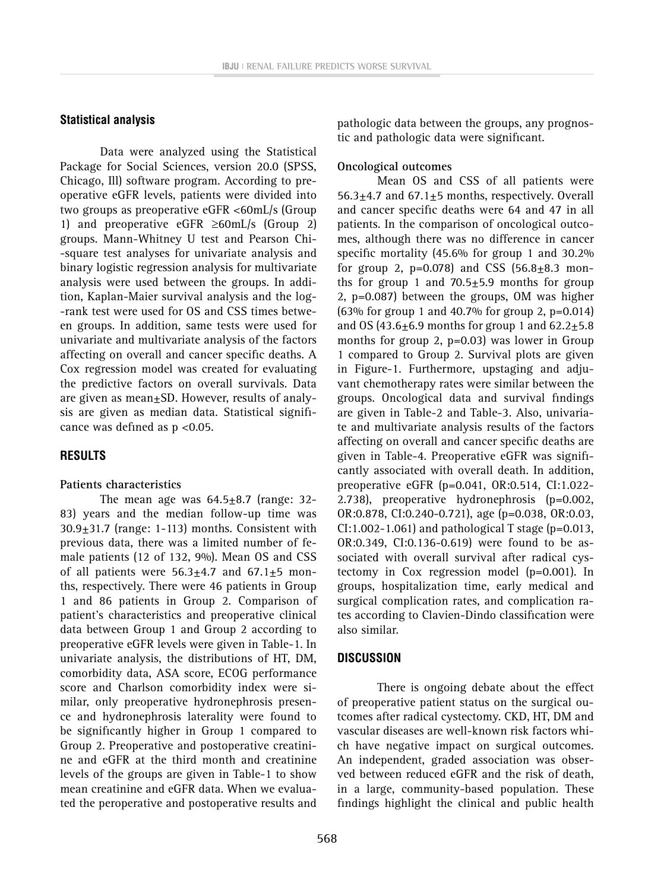#### **Statistical analysis**

Data were analyzed using the Statistical Package for Social Sciences, version 20.0 (SPSS, Chicago, Ill) software program. According to preoperative eGFR levels, patients were divided into two groups as preoperative eGFR <60mL/s (Group 1) and preoperative eGFR ≥60mL/s (Group 2) groups. Mann-Whitney U test and Pearson Chi- -square test analyses for univariate analysis and binary logistic regression analysis for multivariate analysis were used between the groups. In addition, Kaplan-Maier survival analysis and the log- -rank test were used for OS and CSS times between groups. In addition, same tests were used for univariate and multivariate analysis of the factors affecting on overall and cancer specific deaths. A Cox regression model was created for evaluating the predictive factors on overall survivals. Data are given as mean±SD. However, results of analysis are given as median data. Statistical significance was defined as p <0.05.

### **RESULTS**

#### **Patients characteristics**

The mean age was  $64.5 \pm 8.7$  (range: 32-83) years and the median follow-up time was  $30.9\pm31.7$  (range: 1-113) months. Consistent with previous data, there was a limited number of female patients (12 of 132, 9%). Mean OS and CSS of all patients were  $56.3 \pm 4.7$  and  $67.1 \pm 5$  months, respectively. There were 46 patients in Group 1 and 86 patients in Group 2. Comparison of patient's characteristics and preoperative clinical data between Group 1 and Group 2 according to preoperative eGFR levels were given in Table-1. In univariate analysis, the distributions of HT, DM, comorbidity data, ASA score, ECOG performance score and Charlson comorbidity index were similar, only preoperative hydronephrosis presence and hydronephrosis laterality were found to be significantly higher in Group 1 compared to Group 2. Preoperative and postoperative creatinine and eGFR at the third month and creatinine levels of the groups are given in Table-1 to show mean creatinine and eGFR data. When we evaluated the peroperative and postoperative results and

pathologic data between the groups, any prognostic and pathologic data were significant.

### **Oncological outcomes**

Mean OS and CSS of all patients were 56.3 $\pm$ 4.7 and 67.1 $\pm$ 5 months, respectively. Overall and cancer specific deaths were 64 and 47 in all patients. In the comparison of oncological outcomes, although there was no difference in cancer specific mortality (45.6% for group 1 and 30.2% for group 2,  $p=0.078$ ) and CSS  $(56.8 \pm 8.3 \text{ mon}$ ths for group 1 and  $70.5 \pm 5.9$  months for group 2, p=0.087) between the groups, OM was higher (63% for group 1 and 40.7% for group 2, p=0.014) and OS (43.6 $\pm$ 6.9 months for group 1 and 62.2 $\pm$ 5.8 months for group 2, p=0.03) was lower in Group 1 compared to Group 2. Survival plots are given in Figure-1. Furthermore, upstaging and adjuvant chemotherapy rates were similar between the groups. Oncological data and survival findings are given in Table-2 and Table-3. Also, univariate and multivariate analysis results of the factors affecting on overall and cancer specific deaths are given in Table-4. Preoperative eGFR was significantly associated with overall death. In addition, preoperative eGFR (p=0.041, OR:0.514, CI:1.022- 2.738), preoperative hydronephrosis (p=0.002, OR:0.878, CI:0.240-0.721), age (p=0.038, OR:0.03, CI:1.002-1.061) and pathological T stage ( $p=0.013$ , OR:0.349, CI:0.136-0.619) were found to be associated with overall survival after radical cystectomy in Cox regression model (p=0.001). In groups, hospitalization time, early medical and surgical complication rates, and complication rates according to Clavien-Dindo classification were also similar.

### **DISCUSSION**

There is ongoing debate about the effect of preoperative patient status on the surgical outcomes after radical cystectomy. CKD, HT, DM and vascular diseases are well-known risk factors which have negative impact on surgical outcomes. An independent, graded association was observed between reduced eGFR and the risk of death, in a large, community-based population. These findings highlight the clinical and public health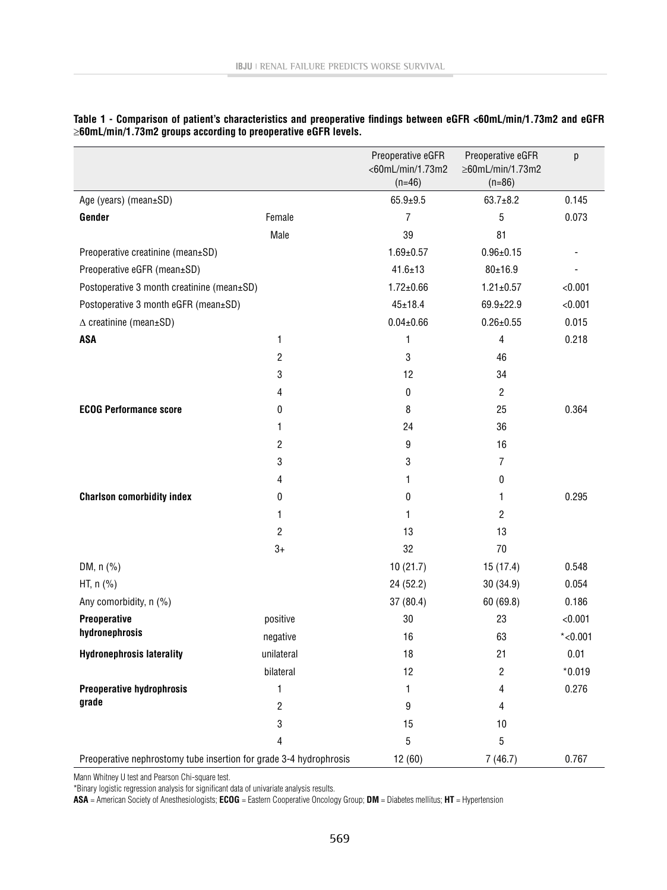|                                                                    |                | Preoperative eGFR<br><60mL/min/1.73m2 | Preoperative eGFR<br>$\geq$ 60mL/min/1.73m2 | р          |
|--------------------------------------------------------------------|----------------|---------------------------------------|---------------------------------------------|------------|
|                                                                    |                | $(n=46)$                              | $(n=86)$                                    |            |
| Age (years) (mean±SD)                                              |                | $65.9 + 9.5$                          | $63.7 \pm 8.2$                              | 0.145      |
| Gender                                                             | Female         | 7                                     | 5                                           | 0.073      |
|                                                                    | Male           | 39                                    | 81                                          |            |
| Preoperative creatinine (mean±SD)                                  |                | $1.69 \pm 0.57$                       | $0.96 \pm 0.15$                             |            |
| Preoperative eGFR (mean±SD)                                        |                | $41.6 \pm 13$                         | $80 + 16.9$                                 |            |
| Postoperative 3 month creatinine (mean±SD)                         |                | $1.72 \pm 0.66$                       | $1.21 \pm 0.57$                             | < 0.001    |
| Postoperative 3 month eGFR (mean±SD)                               |                | $45 \pm 18.4$                         | 69.9±22.9                                   | < 0.001    |
| $\triangle$ creatinine (mean±SD)                                   |                | $0.04 \pm 0.66$                       | $0.26 \pm 0.55$                             | 0.015      |
| <b>ASA</b>                                                         | 1              | 1                                     | 4                                           | 0.218      |
|                                                                    | 2              | 3                                     | 46                                          |            |
|                                                                    | 3              | 12                                    | 34                                          |            |
|                                                                    | 4              | 0                                     | 2                                           |            |
| <b>ECOG Performance score</b>                                      | 0              | 8                                     | 25                                          | 0.364      |
|                                                                    | 1              | 24                                    | 36                                          |            |
|                                                                    | 2              | 9                                     | 16                                          |            |
|                                                                    | 3              | 3                                     | 7                                           |            |
|                                                                    | 4              | 1                                     | 0                                           |            |
| <b>Charlson comorbidity index</b>                                  | 0              | 0                                     | 1                                           | 0.295      |
|                                                                    | 1              | 1                                     | $\overline{2}$                              |            |
|                                                                    | 2              | 13                                    | 13                                          |            |
|                                                                    | $3+$           | 32                                    | 70                                          |            |
| DM, $n$ (%)                                                        |                | 10(21.7)                              | 15(17.4)                                    | 0.548      |
| HT, n (%)                                                          |                | 24 (52.2)                             | 30 (34.9)                                   | 0.054      |
| Any comorbidity, n (%)                                             |                | 37(80.4)                              | 60(69.8)                                    | 0.186      |
| Preoperative                                                       | positive       | 30                                    | 23                                          | < 0.001    |
| hydronephrosis                                                     | negative       | 16                                    | 63                                          | $*$ <0.001 |
| <b>Hydronephrosis laterality</b>                                   | unilateral     | 18                                    | 21                                          | 0.01       |
|                                                                    | bilateral      | 12                                    | 2                                           | $*0.019$   |
| Preoperative hydrophrosis                                          | 1              | 1                                     | 4                                           | 0.276      |
| grade                                                              | $\overline{c}$ | 9                                     | 4                                           |            |
|                                                                    | 3              | 15                                    | 10                                          |            |
|                                                                    | 4              | 5                                     | 5                                           |            |
| Preoperative nephrostomy tube insertion for grade 3-4 hydrophrosis |                | 12(60)                                | 7(46.7)                                     | 0.767      |

| Table 1 - Comparison of patient's characteristics and preoperative findings between eGFR <60mL/min/1.73m2 and eGFR |  |  |
|--------------------------------------------------------------------------------------------------------------------|--|--|
| $\geq$ 60mL/min/1.73m2 groups according to preoperative eGFR levels.                                               |  |  |

Mann Whitney U test and Pearson Chi-square test.

\*Binary logistic regression analysis for significant data of univariate analysis results.

**ASA** = American Society of Anesthesiologists; **ECOG** = Eastern Cooperative Oncology Group; **DM** = Diabetes mellitus; **HT** = Hypertension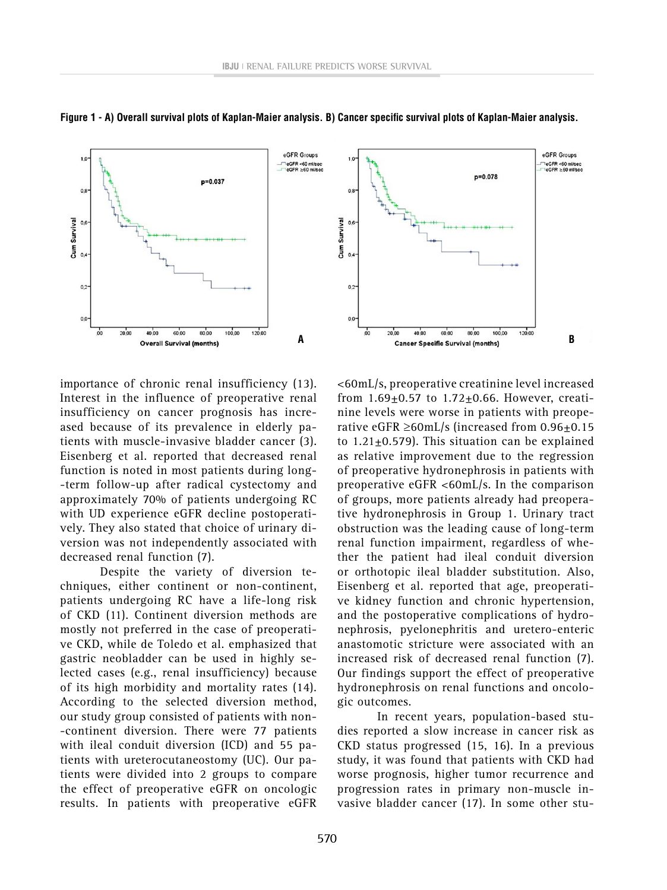



importance of chronic renal insufficiency (13). Interest in the influence of preoperative renal insufficiency on cancer prognosis has increased because of its prevalence in elderly patients with muscle-invasive bladder cancer (3). Eisenberg et al. reported that decreased renal function is noted in most patients during long- -term follow-up after radical cystectomy and approximately 70% of patients undergoing RC with UD experience eGFR decline postoperatively. They also stated that choice of urinary diversion was not independently associated with decreased renal function (7).

Despite the variety of diversion techniques, either continent or non-continent, patients undergoing RC have a life-long risk of CKD (11). Continent diversion methods are mostly not preferred in the case of preoperative CKD, while de Toledo et al. emphasized that gastric neobladder can be used in highly selected cases (e.g., renal insufficiency) because of its high morbidity and mortality rates (14). According to the selected diversion method, our study group consisted of patients with non- -continent diversion. There were 77 patients with ileal conduit diversion (ICD) and 55 patients with ureterocutaneostomy (UC). Our patients were divided into 2 groups to compare the effect of preoperative eGFR on oncologic results. In patients with preoperative eGFR



<60mL/s, preoperative creatinine level increased from  $1.69 \pm 0.57$  to  $1.72 \pm 0.66$ . However, creatinine levels were worse in patients with preoperative eGFR  $\geq$ 60mL/s (increased from 0.96 $\pm$ 0.15 to  $1.21 \pm 0.579$ ). This situation can be explained as relative improvement due to the regression of preoperative hydronephrosis in patients with preoperative eGFR <60mL/s. In the comparison of groups, more patients already had preoperative hydronephrosis in Group 1. Urinary tract obstruction was the leading cause of long-term renal function impairment, regardless of whether the patient had ileal conduit diversion or orthotopic ileal bladder substitution. Also, Eisenberg et al. reported that age, preoperative kidney function and chronic hypertension, and the postoperative complications of hydronephrosis, pyelonephritis and uretero-enteric anastomotic stricture were associated with an increased risk of decreased renal function (7). Our findings support the effect of preoperative hydronephrosis on renal functions and oncologic outcomes.

In recent years, population-based studies reported a slow increase in cancer risk as CKD status progressed (15, 16). In a previous study, it was found that patients with CKD had worse prognosis, higher tumor recurrence and progression rates in primary non-muscle invasive bladder cancer (17). In some other stu-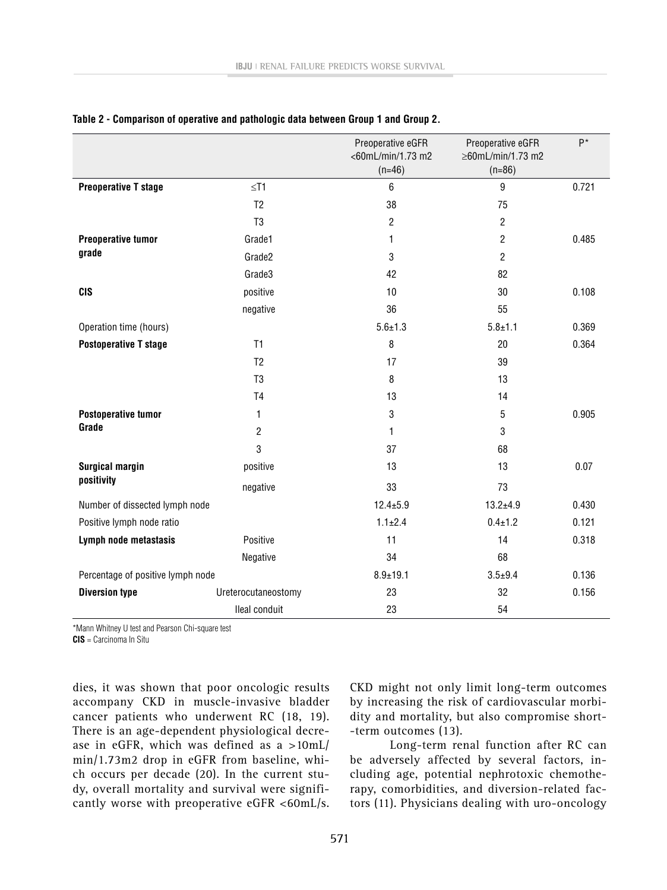|                                   |                     | Preoperative eGFR | Preoperative eGFR | P*    |
|-----------------------------------|---------------------|-------------------|-------------------|-------|
|                                   |                     | <60mL/min/1.73 m2 | ≥60mL/min/1.73 m2 |       |
|                                   |                     | $(n=46)$          | $(n=86)$          |       |
| <b>Preoperative T stage</b>       | $\leq$ T1           | 6                 | 9                 | 0.721 |
|                                   | T <sub>2</sub>      | 38                | 75                |       |
|                                   | T <sub>3</sub>      | 2                 | $\overline{2}$    |       |
| <b>Preoperative tumor</b>         | Grade1              | 1                 | $\overline{c}$    | 0.485 |
| grade                             | Grade2              | 3                 | $\overline{c}$    |       |
|                                   | Grade3              | 42                | 82                |       |
| <b>CIS</b>                        | positive            | 10                | 30                | 0.108 |
|                                   | negative            | 36                | 55                |       |
| Operation time (hours)            |                     | $5.6 \pm 1.3$     | $5.8 + 1.1$       | 0.369 |
| <b>Postoperative T stage</b>      | T1                  | 8                 | 20                | 0.364 |
|                                   | T <sub>2</sub>      | 17                | 39                |       |
|                                   | T <sub>3</sub>      | 8                 | 13                |       |
|                                   | T <sub>4</sub>      | 13                | 14                |       |
| <b>Postoperative tumor</b>        | 1                   | 3                 | 5                 | 0.905 |
| Grade                             | $\overline{c}$      | 1                 | 3                 |       |
|                                   | 3                   | 37                | 68                |       |
| <b>Surgical margin</b>            | positive            | 13                | 13                | 0.07  |
| positivity                        | negative            | 33                | 73                |       |
| Number of dissected lymph node    |                     | $12.4 \pm 5.9$    | $13.2 + 4.9$      | 0.430 |
| Positive lymph node ratio         |                     | $1.1 \pm 2.4$     | $0.4 \pm 1.2$     | 0.121 |
| Lymph node metastasis             | Positive            | 11                | 14                | 0.318 |
|                                   | Negative            | 34                | 68                |       |
| Percentage of positive lymph node |                     | $8.9 + 19.1$      | $3.5 + 9.4$       | 0.136 |
| <b>Diversion type</b>             | Ureterocutaneostomy | 23                | 32                | 0.156 |
|                                   | Ileal conduit       | 23                | 54                |       |

#### **Table 2 - Comparison of operative and pathologic data between Group 1 and Group 2.**

\*Mann Whitney U test and Pearson Chi-square test

**CIS** = Carcinoma In Situ

dies, it was shown that poor oncologic results accompany CKD in muscle-invasive bladder cancer patients who underwent RC (18, 19). There is an age-dependent physiological decrease in eGFR, which was defined as a >10mL/ min/1.73m2 drop in eGFR from baseline, which occurs per decade (20). In the current study, overall mortality and survival were significantly worse with preoperative eGFR <60mL/s. CKD might not only limit long-term outcomes by increasing the risk of cardiovascular morbidity and mortality, but also compromise short- -term outcomes (13).

Long-term renal function after RC can be adversely affected by several factors, including age, potential nephrotoxic chemotherapy, comorbidities, and diversion-related factors (11). Physicians dealing with uro-oncology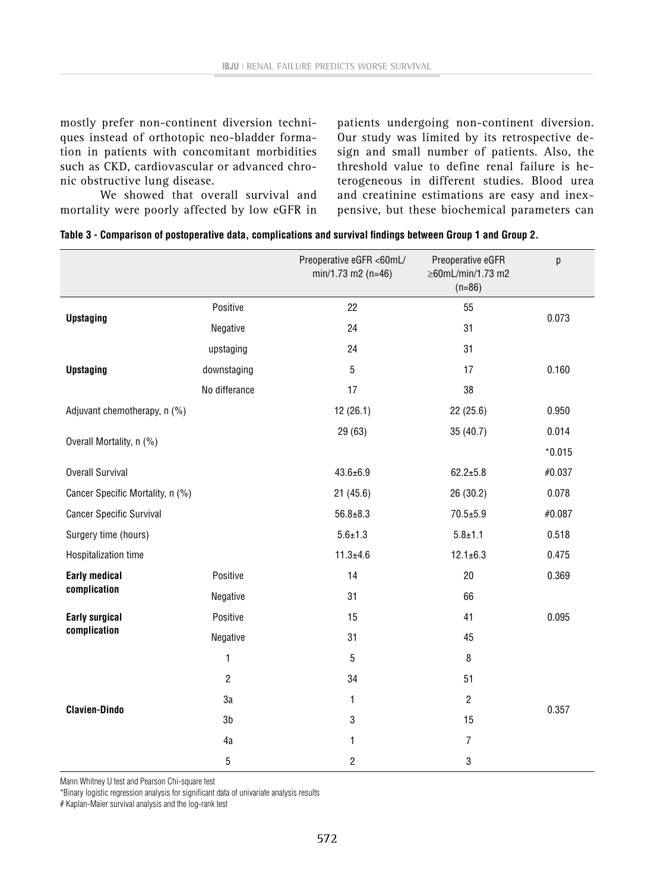mostly prefer non-continent diversion techniques instead of orthotopic neo-bladder formation in patients with concomitant morbidities such as CKD, cardiovascular or advanced chronic obstructive lung disease.

We showed that overall survival and mortality were poorly affected by low eGFR in patients undergoing non-continent diversion. Our study was limited by its retrospective design and small number of patients. Also, the threshold value to define renal failure is heterogeneous in different studies. Blood urea and creatinine estimations are easy and inexpensive, but these biochemical parameters can

|                                  |                | Preoperative eGFR <60mL/<br>$min/1.73$ m2 (n=46) | Preoperative eGFR<br>≥60mL/min/1.73 m2<br>$(n=86)$ | р        |
|----------------------------------|----------------|--------------------------------------------------|----------------------------------------------------|----------|
| <b>Upstaging</b>                 | Positive       | 22                                               | 55                                                 | 0.073    |
|                                  | Negative       | 24                                               | 31                                                 |          |
| <b>Upstaging</b>                 | upstaging      | 24                                               | 31                                                 |          |
|                                  | downstaging    | 5                                                | 17                                                 | 0.160    |
|                                  | No differance  | 17                                               | 38                                                 |          |
| Adjuvant chemotherapy, n (%)     |                | 12(26.1)                                         | 22 (25.6)                                          | 0.950    |
| Overall Mortality, n (%)         |                | 29 (63)                                          | 35 (40.7)                                          | 0.014    |
|                                  |                |                                                  |                                                    | $*0.015$ |
| <b>Overall Survival</b>          |                | $43.6 \pm 6.9$                                   | $62.2 + 5.8$                                       | #0.037   |
| Cancer Specific Mortality, n (%) |                | 21(45.6)                                         | 26 (30.2)                                          | 0.078    |
| <b>Cancer Specific Survival</b>  |                | $56.8 + 8.3$                                     | $70.5 + 5.9$                                       | #0.087   |
| Surgery time (hours)             |                | $5.6 \pm 1.3$                                    | $5.8 + 1.1$                                        | 0.518    |
| Hospitalization time             |                | $11.3 + 4.6$                                     | $12.1 \pm 6.3$                                     | 0.475    |
| <b>Early medical</b>             | Positive       | 14                                               | 20                                                 | 0.369    |
| complication                     | Negative       | 31                                               | 66                                                 |          |
| <b>Early surgical</b>            | Positive       | 15                                               | 41                                                 | 0.095    |
| complication                     | Negative       | 31                                               | 45                                                 |          |
|                                  | 1              | 5                                                | 8                                                  |          |
|                                  | $\overline{2}$ | 34                                               | 51                                                 |          |
| <b>Clavien-Dindo</b>             | 3a             | 1                                                | $\overline{2}$                                     | 0.357    |
|                                  | 3 <sub>b</sub> | 3                                                | 15                                                 |          |
|                                  | 4a             | 1                                                | $\overline{7}$                                     |          |
|                                  | 5              | 2                                                | 3                                                  |          |

Mann Whitney U test and Pearson Chi-square test

\*Binary logistic regression analysis for significant data of univariate analysis results

# Kaplan-Maier survival analysis and the log-rank test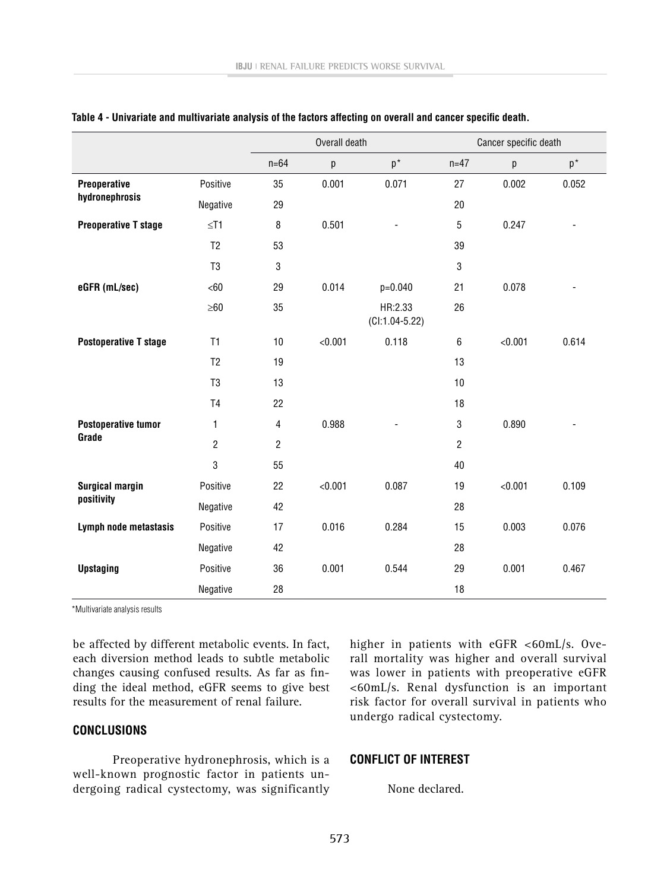|                                      |                | Overall death  |         |                             |                | Cancer specific death |       |  |
|--------------------------------------|----------------|----------------|---------|-----------------------------|----------------|-----------------------|-------|--|
|                                      |                | $n = 64$       | p       | $p^*$                       | $n=47$         | p                     | $p^*$ |  |
| Preoperative<br>hydronephrosis       | Positive       | 35             | 0.001   | 0.071                       | 27             | 0.002                 | 0.052 |  |
|                                      | Negative       | 29             |         |                             | 20             |                       |       |  |
| <b>Preoperative T stage</b>          | $≤$ T1         | 8              | 0.501   |                             | 5              | 0.247                 |       |  |
|                                      | T <sub>2</sub> | 53             |         |                             | 39             |                       |       |  |
|                                      | T <sub>3</sub> | 3              |         |                             | 3              |                       |       |  |
| eGFR (mL/sec)                        | <60            | 29             | 0.014   | p=0.040                     | 21             | 0.078                 |       |  |
|                                      | $\geq 60$      | 35             |         | HR:2.33<br>$(Cl:1.04-5.22)$ | 26             |                       |       |  |
| <b>Postoperative T stage</b>         | T1             | $10$           | < 0.001 | 0.118                       | $\,6\,$        | < 0.001               | 0.614 |  |
|                                      | T <sub>2</sub> | 19             |         |                             | 13             |                       |       |  |
|                                      | T <sub>3</sub> | 13             |         |                             | 10             |                       |       |  |
|                                      | T <sub>4</sub> | 22             |         |                             | 18             |                       |       |  |
| <b>Postoperative tumor</b><br>Grade  | 1              | 4              | 0.988   |                             | 3              | 0.890                 |       |  |
|                                      | $\overline{c}$ | $\overline{c}$ |         |                             | $\overline{2}$ |                       |       |  |
|                                      | 3              | 55             |         |                             | 40             |                       |       |  |
| <b>Surgical margin</b><br>positivity | Positive       | 22             | < 0.001 | 0.087                       | 19             | < 0.001               | 0.109 |  |
|                                      | Negative       | 42             |         |                             | 28             |                       |       |  |
| Lymph node metastasis                | Positive       | 17             | 0.016   | 0.284                       | 15             | 0.003                 | 0.076 |  |
|                                      | Negative       | 42             |         |                             | 28             |                       |       |  |
| <b>Upstaging</b>                     | Positive       | 36             | 0.001   | 0.544                       | 29             | 0.001                 | 0.467 |  |
|                                      | Negative       | 28             |         |                             | 18             |                       |       |  |

#### **Table 4 - Univariate and multivariate analysis of the factors affecting on overall and cancer specific death.**

\*Multivariate analysis results

be affected by different metabolic events. In fact, each diversion method leads to subtle metabolic changes causing confused results. As far as finding the ideal method, eGFR seems to give best results for the measurement of renal failure.

### **CONCLUSIONS**

Preoperative hydronephrosis, which is a well-known prognostic factor in patients undergoing radical cystectomy, was significantly higher in patients with eGFR <60mL/s. Overall mortality was higher and overall survival was lower in patients with preoperative eGFR <60mL/s. Renal dysfunction is an important risk factor for overall survival in patients who undergo radical cystectomy.

### **CONFLICT OF INTEREST**

None declared.